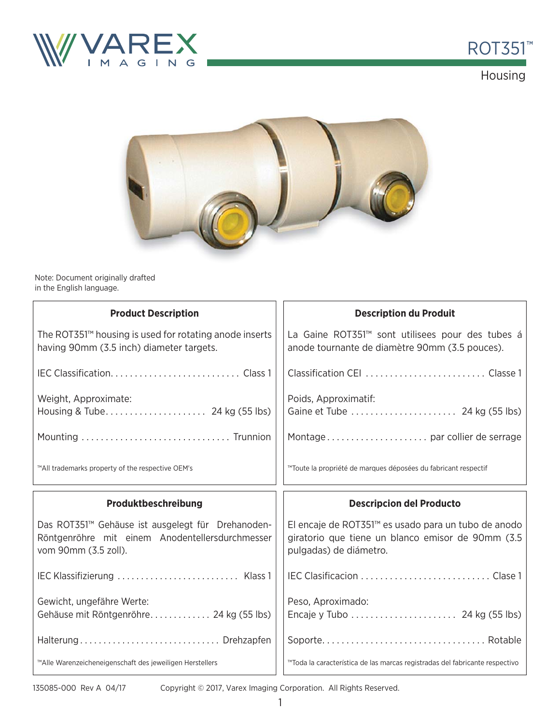



Housing



Note: Document originally drafted in the English language.

| <b>Product Description</b>                                                                                                   | <b>Description du Produit</b>                                                                                                      |  |
|------------------------------------------------------------------------------------------------------------------------------|------------------------------------------------------------------------------------------------------------------------------------|--|
| The ROT351 <sup>™</sup> housing is used for rotating anode inserts<br>having 90mm (3.5 inch) diameter targets.               | La Gaine ROT351™ sont utilisees pour des tubes á<br>anode tournante de diamètre 90mm (3.5 pouces).                                 |  |
|                                                                                                                              |                                                                                                                                    |  |
| Weight, Approximate:                                                                                                         | Poids, Approximatif:                                                                                                               |  |
|                                                                                                                              |                                                                                                                                    |  |
| ™All trademarks property of the respective OEM's                                                                             | ™Toute la propriété de marques déposées du fabricant respectif                                                                     |  |
|                                                                                                                              |                                                                                                                                    |  |
| Produktbeschreibung                                                                                                          | <b>Descripcion del Producto</b>                                                                                                    |  |
| Das ROT351™ Gehäuse ist ausgelegt für Drehanoden-<br>Röntgenröhre mit einem Anodentellersdurchmesser<br>vom 90mm (3.5 zoll). | El encaje de ROT351™ es usado para un tubo de anodo<br>giratorio que tiene un blanco emisor de 90mm (3.5<br>pulgadas) de diámetro. |  |
|                                                                                                                              |                                                                                                                                    |  |
| Gewicht, ungefähre Werte:<br>Gehäuse mit Röntgenröhre 24 kg (55 lbs)                                                         | Peso, Aproximado:                                                                                                                  |  |
| Halterung Drehzapfen                                                                                                         |                                                                                                                                    |  |

135085-000 Rev A 04/17

Copyright © 2017, Varex Imaging Corporation. All Rights Reserved.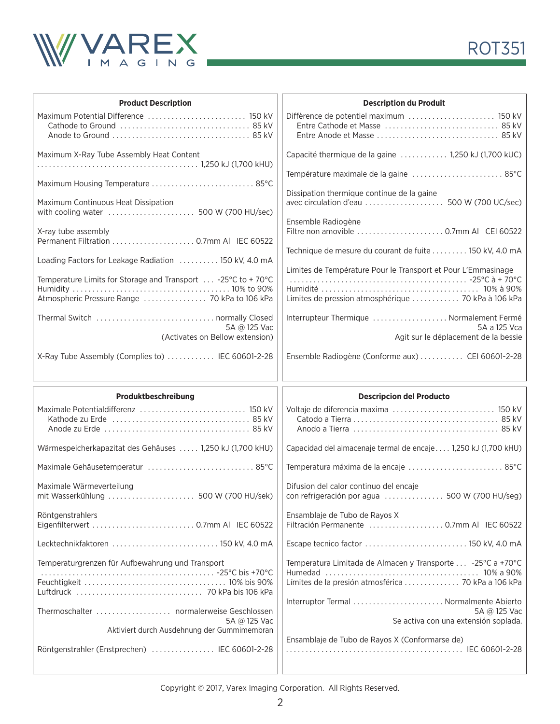



| <b>Product Description</b>                                      | <b>Description du Produit</b>                                                            |  |  |
|-----------------------------------------------------------------|------------------------------------------------------------------------------------------|--|--|
| Maximum Potential Difference  150 kV                            |                                                                                          |  |  |
| Maximum X-Ray Tube Assembly Heat Content                        | Capacité thermique de la gaine  1,250 kJ (1,700 kUC)                                     |  |  |
| Maximum Housing Temperature  85°C                               | Température maximale de la gaine  85°C                                                   |  |  |
| Maximum Continuous Heat Dissipation                             | Dissipation thermique continue de la gaine                                               |  |  |
| X-ray tube assembly<br>Permanent Filtration  0.7mm AI IEC 60522 | Ensemble Radiogène<br>Filtre non amovible  0.7mm AI CEI 60522                            |  |  |
| Loading Factors for Leakage Radiation  150 kV, 4.0 mA           | Technique de mesure du courant de fuite 150 kV, 4.0 mA                                   |  |  |
| Temperature Limits for Storage and Transport  -25°C to +70°C    | Limites de Température Pour le Transport et Pour L'Emmasinage                            |  |  |
| Atmospheric Pressure Range  70 kPa to 106 kPa                   | Limites de pression atmosphérique  70 kPa à 106 kPa                                      |  |  |
| 5A @ 125 Vac                                                    | Interrupteur Thermique  Normalement Fermé<br>5A a 125 Vca                                |  |  |
| (Activates on Bellow extension)                                 | Agit sur le déplacement de la bessie                                                     |  |  |
| X-Ray Tube Assembly (Complies to)  IEC 60601-2-28               | Ensemble Radiogène (Conforme aux)  CEI 60601-2-28                                        |  |  |
|                                                                 |                                                                                          |  |  |
| Produktbeschreibung                                             | <b>Descripcion del Producto</b>                                                          |  |  |
|                                                                 | Voltaje de diferencia maxima  150 kV                                                     |  |  |
| Wärmespeicherkapazitat des Gehäuses  1,250 kJ (1,700 kHU)       | Capacidad del almacenaje termal de encaje 1,250 kJ (1,700 kHU)                           |  |  |
| Maximale Gehäusetemperatur  85°C                                | Temperatura máxima de la encaje  85°C                                                    |  |  |
| Maximale Wärmeverteilung                                        | Difusion del calor continuo del encaje<br>con refrigeración por agua  500 W (700 HU/seg) |  |  |
| Röntgenstrahlers                                                | Ensamblaje de Tubo de Rayos X<br>Filtración Permanente  0.7mm Al IEC 60522               |  |  |
| Lecktechnikfaktoren  150 kV, 4.0 mA                             | Escape tecnico factor  150 kV, 4.0 mA                                                    |  |  |
| Temperaturgrenzen für Aufbewahrung und Transport                | Temperatura Limitada de Almacen y Transporte  -25°C a +70°C                              |  |  |
|                                                                 | Límites de la presión atmosférica  70 kPa a 106 kPa                                      |  |  |
| Thermoschalter  normalerweise Geschlossen<br>5A @ 125 Vac       | 5A @ 125 Vac                                                                             |  |  |
| Aktiviert durch Ausdehnung der Gummimembran                     | Se activa con una extensión soplada.                                                     |  |  |
| Röntgenstrahler (Enstprechen)  IEC 60601-2-28                   | Ensamblaje de Tubo de Rayos X (Conformarse de)                                           |  |  |

Copyright © 2017, Varex Imaging Corporation. All Rights Reserved.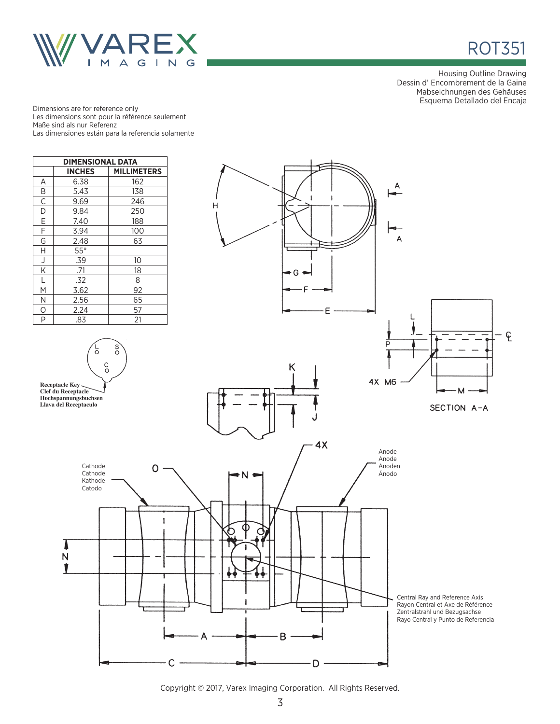



Housing Outline Drawing Dessin d' Encombrement de la Gaine Mabseichnungen des Gehäuses Esquema Detallado del Encaje

Dimensions are for reference only Les dimensions sont pour la référence seulement Maße sind als nur Referenz Las dimensiones están para la referencia solamente



Copyright © 2017, Varex Imaging Corporation. All Rights Reserved.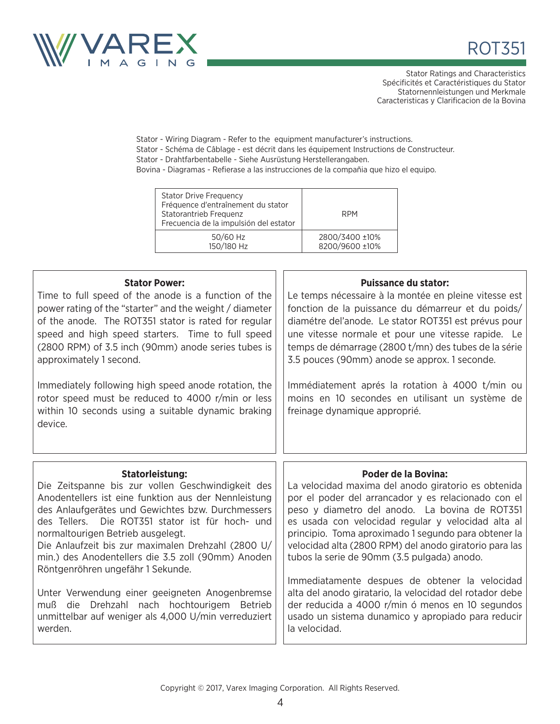



Stator Ratings and Characteristics Spécificités et Caractéristiques du Stator Statornennleistungen und Merkmale Caracteristicas y Clarificacion de la Bovina

Stator - Wiring Diagram - Refer to the equipment manufacturer's instructions. Stator - Schéma de Câblage - est décrit dans les équipement Instructions de Constructeur.

Stator - Drahtfarbentabelle - Siehe Ausrüstung Herstellerangaben.

Bovina - Diagramas - Refierase a las instrucciones de la compañia que hizo el equipo.

| <b>Stator Drive Frequency</b><br>Fréquence d'entraînement du stator<br>Statorantrieb Frequenz<br>Frecuencia de la impulsión del estator | <b>RPM</b>     |
|-----------------------------------------------------------------------------------------------------------------------------------------|----------------|
| 50/60 Hz                                                                                                                                | 2800/3400 ±10% |
| 150/180 Hz                                                                                                                              | 8200/9600 ±10% |

| <b>Stator Power:</b><br>Time to full speed of the anode is a function of the<br>power rating of the "starter" and the weight / diameter<br>of the anode. The ROT351 stator is rated for regular<br>speed and high speed starters. Time to full speed<br>(2800 RPM) of 3.5 inch (90mm) anode series tubes is<br>approximately 1 second.<br>Immediately following high speed anode rotation, the<br>rotor speed must be reduced to 4000 r/min or less<br>within 10 seconds using a suitable dynamic braking<br>device.                                                                                     | <b>Puissance du stator:</b><br>Le temps nécessaire à la montée en pleine vitesse est<br>fonction de la puissance du démarreur et du poids/<br>diamétre del'anode. Le stator ROT351 est prévus pour<br>une vitesse normale et pour une vitesse rapide. Le<br>temps de démarrage (2800 t/mn) des tubes de la série<br>3.5 pouces (90mm) anode se approx. 1 seconde.<br>Immédiatement aprés la rotation à 4000 t/min ou<br>moins en 10 secondes en utilisant un système de<br>freinage dynamique approprié.                                                                                                                                                  |
|----------------------------------------------------------------------------------------------------------------------------------------------------------------------------------------------------------------------------------------------------------------------------------------------------------------------------------------------------------------------------------------------------------------------------------------------------------------------------------------------------------------------------------------------------------------------------------------------------------|-----------------------------------------------------------------------------------------------------------------------------------------------------------------------------------------------------------------------------------------------------------------------------------------------------------------------------------------------------------------------------------------------------------------------------------------------------------------------------------------------------------------------------------------------------------------------------------------------------------------------------------------------------------|
| <b>Statorleistung:</b><br>Die Zeitspanne bis zur vollen Geschwindigkeit des<br>Anodentellers ist eine funktion aus der Nennleistung<br>des Anlaufgerätes und Gewichtes bzw. Durchmessers<br>des Tellers. Die ROT351 stator ist für hoch- und<br>normaltourigen Betrieb ausgelegt.<br>Die Anlaufzeit bis zur maximalen Drehzahl (2800 U/<br>min.) des Anodentellers die 3.5 zoll (90mm) Anoden<br>Röntgenröhren ungefähr 1 Sekunde.<br>Unter Verwendung einer geeigneten Anogenbremse<br>Drehzahl nach hochtourigem Betrieb<br>muß die<br>unmittelbar auf weniger als 4,000 U/min verreduziert<br>werden. | <b>Poder de la Bovina:</b><br>La velocidad maxima del anodo giratorio es obtenida<br>por el poder del arrancador y es relacionado con el<br>peso y diametro del anodo. La bovina de ROT351<br>es usada con velocidad regular y velocidad alta al<br>principio. Toma aproximado 1 segundo para obtener la<br>velocidad alta (2800 RPM) del anodo giratorio para las<br>tubos la serie de 90mm (3.5 pulgada) anodo.<br>Immediatamente despues de obtener la velocidad<br>alta del anodo giratario, la velocidad del rotador debe<br>der reducida a 4000 r/min ó menos en 10 segundos<br>usado un sistema dunamico y apropiado para reducir<br>la velocidad. |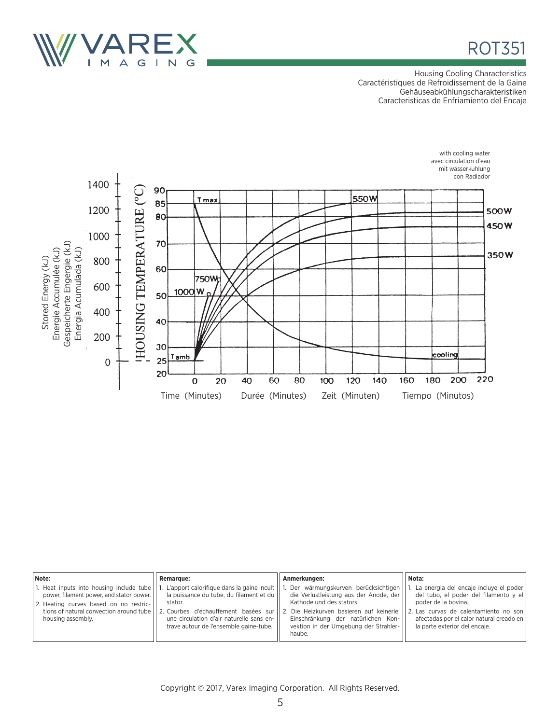



Housing Cooling Characteristics Caractéristiques de Refroidissement de la Gaine Gehäuseabkühlungscharakteristiken Caracteristicas de Enfriamiento del Encaje



| Note:                                                                                                                                                                                            | <b>Remarque:</b>                                                                                                                                                                                  | Anmerkungen:                                                                                                                                                                                                                                                                          | Nota:                                                                                                                                                                                                                              |
|--------------------------------------------------------------------------------------------------------------------------------------------------------------------------------------------------|---------------------------------------------------------------------------------------------------------------------------------------------------------------------------------------------------|---------------------------------------------------------------------------------------------------------------------------------------------------------------------------------------------------------------------------------------------------------------------------------------|------------------------------------------------------------------------------------------------------------------------------------------------------------------------------------------------------------------------------------|
| 1. Heat inputs into housing include tube<br>power, filament power, and stator power.<br>2. Heating curves based on no restric-<br>tions of natural convection around tube  <br>housing assembly. | L'apport calorifique dans la gaine incult $  \cdot  $<br>la puissance du tube, du filament et du<br>stator.<br>une circulation d'air naturelle sans en-<br>trave autour de l'ensemble gaine-tube. | Der wärmungskurven berücksichtigen<br>die Verlustleistung aus der Anode, der<br>Kathode und des stators.<br>12. Courbes d'échauffement basées sur 112. Die Heizkurven basieren auf keinerlei<br>Einschränkung der natürlichen Kon-<br>vektion in der Umgebung der Strahler-<br>haube. | l. La energia del encaje incluye el poder<br>del tubo, el poder del filamento y el<br>poder de la bovina.<br>11 2. Las curvas de calentamiento no son<br>afectadas por el calor natural creado en<br>la parte exterior del encaje. |